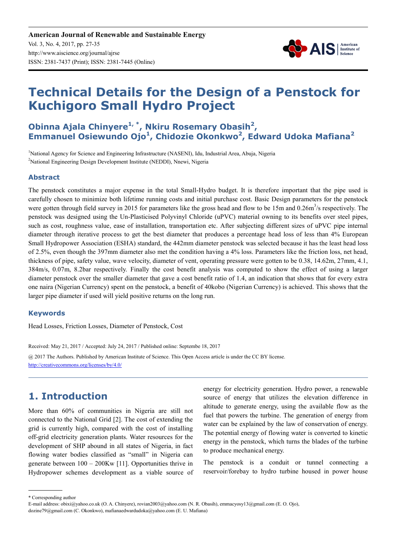**American Journal of Renewable and Sustainable Energy** Vol. 3, No. 4, 2017, pp. 27-35 http://www.aiscience.org/journal/ajrse ISSN: 2381-7437 (Print); ISSN: 2381-7445 (Online)



# **Technical Details for the Design of a Penstock for Kuchigoro Small Hydro Project**

**Obinna Ajala Chinyere1, \*, Nkiru Rosemary Obasih<sup>2</sup> , Emmanuel Osiewundo Ojo<sup>1</sup> , Chidozie Okonkwo<sup>2</sup> , Edward Udoka Mafiana<sup>2</sup>**

<sup>1</sup>National Agency for Science and Engineering Infrastructure (NASENI), Idu, Industrial Area, Abuja, Nigeria <sup>2</sup>National Engineering Design Development Institute (NEDDI), Nnewi, Nigeria

#### **Abstract**

The penstock constitutes a major expense in the total Small-Hydro budget. It is therefore important that the pipe used is carefully chosen to minimize both lifetime running costs and initial purchase cost. Basic Design parameters for the penstock were gotten through field survey in 2015 for parameters like the gross head and flow to be 15m and 0.26m<sup>3</sup>/s respectively. The penstock was designed using the Un-Plasticised Polyvinyl Chloride (uPVC) material owning to its benefits over steel pipes, such as cost, roughness value, ease of installation, transportation etc. After subjecting different sizes of uPVC pipe internal diameter through iterative process to get the best diameter that produces a percentage head loss of less than 4% European Small Hydropower Association (ESHA) standard, the 442mm diameter penstock was selected because it has the least head loss of 2.5%, even though the 397mm diameter also met the condition having a 4% loss. Parameters like the friction loss, net head, thickness of pipe, safety value, wave velocity, diameter of vent, operating pressure were gotten to be 0.38, 14.62m, 27mm, 4.1, 384m/s, 0.07m, 8.2bar respectively. Finally the cost benefit analysis was computed to show the effect of using a larger diameter penstock over the smaller diameter that gave a cost benefit ratio of 1.4, an indication that shows that for every extra one naira (Nigerian Currency) spent on the penstock, a benefit of 40kobo (Nigerian Currency) is achieved. This shows that the larger pipe diameter if used will yield positive returns on the long run.

#### **Keywords**

Head Losses, Friction Losses, Diameter of Penstock, Cost

Received: May 21, 2017 / Accepted: July 24, 2017 / Published online: Septembe 18, 2017

@ 2017 The Authors. Published by American Institute of Science. This Open Access article is under the CC BY license. http://creativecommons.org/licenses/by/4.0/

### **1. Introduction**

More than 60% of communities in Nigeria are still not connected to the National Grid [2]. The cost of extending the grid is currently high, compared with the cost of installing off-grid electricity generation plants. Water resources for the development of SHP abound in all states of Nigeria, in fact flowing water bodies classified as "small" in Nigeria can generate between 100 – 200Kw [11]. Opportunities thrive in Hydropower schemes development as a viable source of energy for electricity generation. Hydro power, a renewable source of energy that utilizes the elevation difference in altitude to generate energy, using the available flow as the fuel that powers the turbine. The generation of energy from water can be explained by the law of conservation of energy. The potential energy of flowing water is converted to kinetic energy in the penstock, which turns the blades of the turbine to produce mechanical energy.

The penstock is a conduit or tunnel connecting a reservoir/forebay to hydro turbine housed in power house

\* Corresponding author

E-mail address: obixi@yahoo.co.uk (O. A. Chinyere), rovian2003@yahoo.com (N. R. Obasih), emmacyosy13@gmail.com (E. O. Ojo),

dozine79@gmail.com (C. Okonkwo), mafianaedwardudoka@yahoo.com (E. U. Mafiana)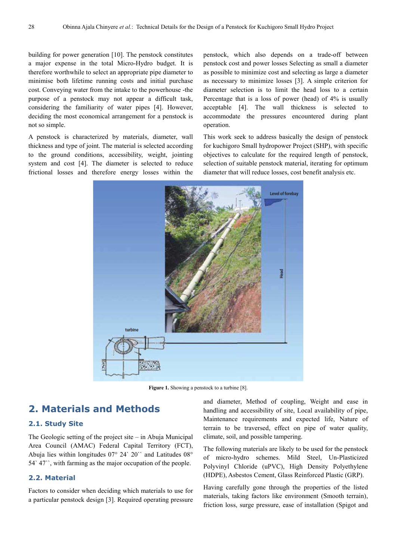building for power generation [10]. The penstock constitutes a major expense in the total Micro-Hydro budget. It is therefore worthwhile to select an appropriate pipe diameter to minimise both lifetime running costs and initial purchase cost. Conveying water from the intake to the powerhouse -the purpose of a penstock may not appear a difficult task, considering the familiarity of water pipes [4]. However, deciding the most economical arrangement for a penstock is not so simple.

A penstock is characterized by materials, diameter, wall thickness and type of joint. The material is selected according to the ground conditions, accessibility, weight, jointing system and cost [4]. The diameter is selected to reduce frictional losses and therefore energy losses within the penstock, which also depends on a trade-off between penstock cost and power losses Selecting as small a diameter as possible to minimize cost and selecting as large a diameter as necessary to minimize losses [3]. A simple criterion for diameter selection is to limit the head loss to a certain Percentage that is a loss of power (head) of 4% is usually acceptable [4]. The wall thickness is selected to accommodate the pressures encountered during plant operation.

This work seek to address basically the design of penstock for kuchigoro Small hydropower Project (SHP), with specific objectives to calculate for the required length of penstock, selection of suitable penstock material, iterating for optimum diameter that will reduce losses, cost benefit analysis etc.



Figure 1. Showing a penstock to a turbine [8].

## **2. Materials and Methods**

#### **2.1. Study Site**

The Geologic setting of the project site – in Abuja Municipal Area Council (AMAC) Federal Capital Territory (FCT), Abuja lies within longitudes 07° 24` 20`` and Latitudes 08° 54` 47``, with farming as the major occupation of the people.

#### **2.2. Material**

Factors to consider when deciding which materials to use for a particular penstock design [3]. Required operating pressure and diameter, Method of coupling, Weight and ease in handling and accessibility of site, Local availability of pipe, Maintenance requirements and expected life, Nature of terrain to be traversed, effect on pipe of water quality, climate, soil, and possible tampering.

The following materials are likely to be used for the penstock of micro-hydro schemes. Mild Steel, Un-Plasticized Polyvinyl Chloride (uPVC), High Density Polyethylene (HDPE), Asbestos Cement, Glass Reinforced Plastic (GRP).

Having carefully gone through the properties of the listed materials, taking factors like environment (Smooth terrain), friction loss, surge pressure, ease of installation (Spigot and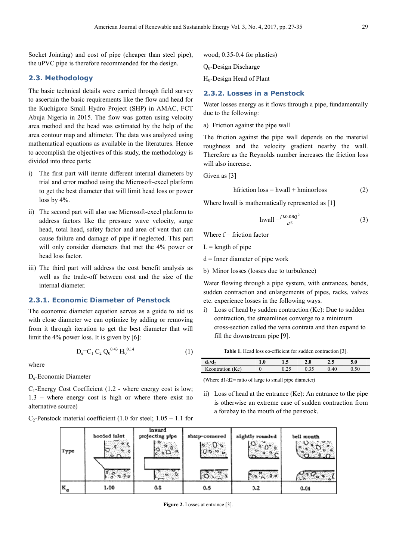Socket Jointing) and cost of pipe (cheaper than steel pipe), the uPVC pipe is therefore recommended for the design.

#### **2.3. Methodology**

The basic technical details were carried through field survey to ascertain the basic requirements like the flow and head for the Kuchigoro Small Hydro Project (SHP) in AMAC, FCT Abuja Nigeria in 2015. The flow was gotten using velocity area method and the head was estimated by the help of the area contour map and altimeter. The data was analyzed using mathematical equations as available in the literatures. Hence to accomplish the objectives of this study, the methodology is divided into three parts:

- i) The first part will iterate different internal diameters by trial and error method using the Microsoft-excel platform to get the best diameter that will limit head loss or power loss by 4%.
- ii) The second part will also use Microsoft-excel platform to address factors like the pressure wave velocity, surge head, total head, safety factor and area of vent that can cause failure and damage of pipe if neglected. This part will only consider diameters that met the 4% power or head loss factor.
- iii) The third part will address the cost benefit analysis as well as the trade-off between cost and the size of the internal diameter.

#### **2.3.1. Economic Diameter of Penstock**

The economic diameter equation serves as a guide to aid us with close diameter we can optimize by adding or removing from it through iteration to get the best diameter that will limit the 4% power loss. It is given by [6]:

$$
D_e = C_1 C_2 Q_0^{0.43} H_0^{0.14}
$$
 (1)

where

De-Economic Diameter

 $C_1$ -Energy Cost Coefficient (1.2 - where energy cost is low; 1.3 – where energy cost is high or where there exist no alternative source)

 $C_2$ -Penstock material coefficient (1.0 for steel; 1.05 – 1.1 for

wood; 0.35-0.4 for plastics)

Q0-Design Discharge

H<sub>0</sub>-Design Head of Plant

#### **2.3.2. Losses in a Penstock**

Water losses energy as it flows through a pipe, fundamentally due to the following:

a) Friction against the pipe wall

The friction against the pipe wall depends on the material roughness and the velocity gradient nearby the wall. Therefore as the Reynolds number increases the friction loss will also increase.

Given as [3]

$$
h friction loss = hwall + hminor loss
$$
 (2)

Where hwall is mathematically represented as [1]

$$
hwall = \frac{f_{L0.08Q^2}}{d^5} \tag{3}
$$

Where  $f =$  friction factor

 $L =$  length of pipe

 $d =$ Inner diameter of pipe work

b) Minor losses (losses due to turbulence)

Water flowing through a pipe system, with entrances, bends, sudden contraction and enlargements of pipes, racks, valves etc. experience losses in the following ways.

i) Loss of head by sudden contraction (Kc): Due to sudden contraction, the streamlines converge to a minimum cross-section called the vena contrata and then expand to fill the downstream pipe [9].

Table 1. Head loss co-efficient for sudden contraction [3].

| $d_1/d_2$        | 1.0 | 1.5 | 2.0 | 2.5  | 5.0 |
|------------------|-----|-----|-----|------|-----|
| Keontration (Ke) |     |     |     | 0.40 |     |

**(**Where d1/d2= ratio of large to small pipe diameter)

ii) Loss of head at the entrance (Ke): An entrance to the pipe is otherwise an extreme case of sudden contraction from a forebay to the mouth of the penstock.



Figure 2. Losses at entrance [3].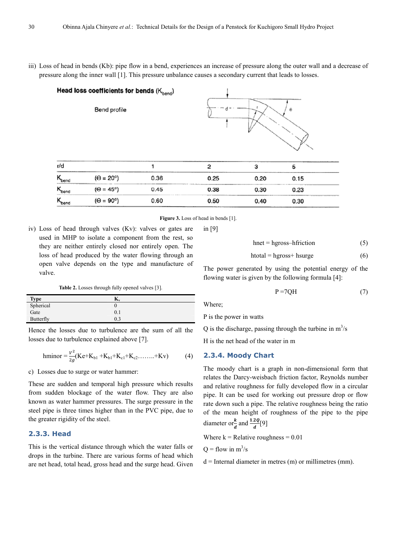iii) Loss of head in bends (Kb): pipe flow in a bend, experiences an increase of pressure along the outer wall and a decrease of pressure along the inner wall [1]. This pressure unbalance causes a secondary current that leads to losses.

|                              | Head loss coefficients for bends (Kbend)<br>Bend profile |      |                | θ    |      |  |  |
|------------------------------|----------------------------------------------------------|------|----------------|------|------|--|--|
| r/d                          |                                                          |      | $\mathfrak{p}$ | 3    | 5    |  |  |
| $\mathsf{K}_{\mathsf{bend}}$ | $(\Theta = 20^{\circ})$                                  | 0.36 | 0.25           | 0.20 | 0.15 |  |  |
| $K_{bend}$                   | $(\Theta = 45^{\circ})$                                  | 0.45 | 0.38           | 0.30 | 0.23 |  |  |
| $\mathsf{K}_{\mathsf{bend}}$ | $(\Theta = 90^{\circ})$                                  | 0.60 | 0.50           | 0.40 | 0.30 |  |  |

Figure 3. Loss of head in bends [1].

in [9]

iv) Loss of head through valves (Kv): valves or gates are used in MHP to isolate a component from the rest, so they are neither entirely closed nor entirely open. The loss of head produced by the water flowing through an open valve depends on the type and manufacture of valve.

Table 2. Losses through fully opened valves [3].

| <b>Type</b> | $\mathbf{r}$ |
|-------------|--------------|
| Spherical   |              |
| Gate        | 0.1          |
| Butterfly   | 0.3          |

Hence the losses due to turbulence are the sum of all the losses due to turbulence explained above [7].

hminor = 
$$
\frac{v^2}{2g}
$$
(Ke+K<sub>b1</sub> + K<sub>b1</sub>+K<sub>c1</sub>+K<sub>c2</sub>........+Kv) (4)

c) Losses due to surge or water hammer:

These are sudden and temporal high pressure which results from sudden blockage of the water flow. They are also known as water hammer pressures. The surge pressure in the steel pipe is three times higher than in the PVC pipe, due to the greater rigidity of the steel.

#### **2.3.3. Head**

This is the vertical distance through which the water falls or drops in the turbine. There are various forms of head which are net head, total head, gross head and the surge head. Given

$$
hnet = hgross-hfriction
$$
 (5)

$$
h total = hgross + h surge
$$
 (6)

The power generated by using the potential energy of the flowing water is given by the following formula [4]:

$$
P = 7QH \tag{7}
$$

Where;

P is the power in watts

Q is the discharge, passing through the turbine in  $m^3/s$ 

H is the net head of the water in m

#### **2.3.4. Moody Chart**

The moody chart is a graph in non-dimensional form that relates the Darcy-weisbach friction factor, Reynolds number and relative roughness for fully developed flow in a circular pipe. It can be used for working out pressure drop or flow rate down such a pipe. The relative roughness being the ratio of the mean height of roughness of the pipe to the pipe diameter or  $\frac{k}{d}$  and  $\frac{1.2Q}{d}[9]$ 

Where  $k =$  Relative roughness = 0.01

 $Q =$  flow in  $m^3/s$ 

 $d =$ Internal diameter in metres (m) or millimetres (mm).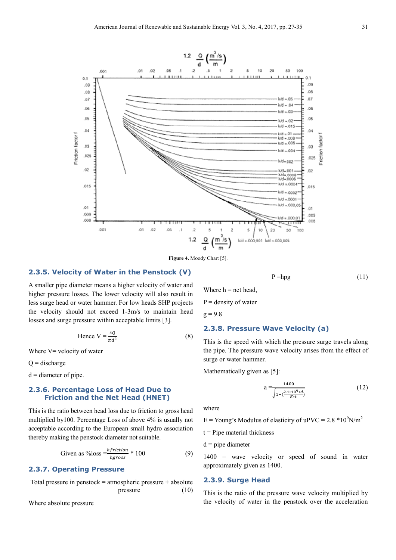

**Figure 4.** Moody Chart [5].

#### **2.3.5. Velocity of Water in the Penstock (V)**

A smaller pipe diameter means a higher velocity of water and higher pressure losses. The lower velocity will also result in less surge head or water hammer. For low heads SHP projects the velocity should not exceed 1-3m/s to maintain head losses and surge pressure within acceptable limits [3].

Hence 
$$
V = \frac{4Q}{\pi d^2}
$$
 (8)

Where V= velocity of water

 $Q =$  discharge

 $d =$  diameter of pipe.

#### **2.3.6. Percentage Loss of Head Due to Friction and the Net Head (HNET)**

This is the ratio between head loss due to friction to gross head multiplied by100. Percentage Loss of above 4% is usually not acceptable according to the European small hydro association thereby making the penstock diameter not suitable.

Given as %loss = 
$$
\frac{hfriction}{hgross} * 100
$$
 (9)

#### **2.3.7. Operating Pressure**

Total pressure in penstock = atmospheric pressure + absolute pressure (10)

Where absolute pressure

Where  $h = net head$ ,  $P =$  density of water

 $g = 9.8$ 

#### **2.3.8. Pressure Wave Velocity (a)**

This is the speed with which the pressure surge travels along the pipe. The pressure wave velocity arises from the effect of surge or water hammer.

Mathematically given as [5]:

$$
a = \frac{1400}{\sqrt{1 + (\frac{2.1 \times 10^{9} \times d}{E \times t})}}
$$
(12)

 $P = hpg$  (11)

where

 $E =$ Young's Modulus of elasticity of uPVC = 2.8  $*10^{9}$ N/m<sup>2</sup>

 $t =$  Pipe material thickness

 $d = pipe$  diameter

1400 = wave velocity or speed of sound in water approximately given as 1400.

#### **2.3.9. Surge Head**

This is the ratio of the pressure wave velocity multiplied by the velocity of water in the penstock over the acceleration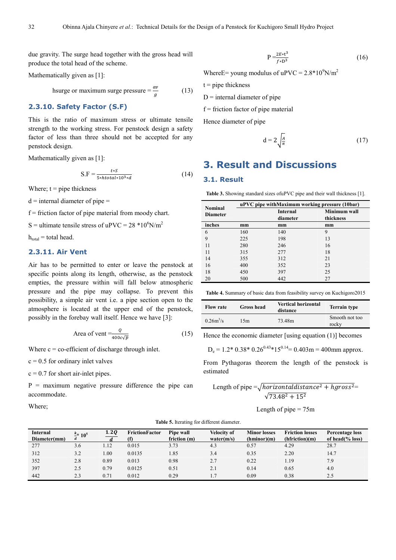due gravity. The surge head together with the gross head will produce the total head of the scheme.

Mathematically given as [1]:

hsurge or maximum surge pressure  $=$   $\frac{dv}{g}$ (13)

#### **2.3.10. Safety Factor (S.F)**

This is the ratio of maximum stress or ultimate tensile strength to the working stress. For penstock design a safety factor of less than three should not be accepted for any penstock design.

Mathematically given as [1]:

$$
S.F = \frac{t \cdot S}{5 \cdot \text{htotal} \cdot 10^3 \cdot d} \tag{14}
$$

Where;  $t = pipe$  thickness

 $d =$  internal diameter of pipe  $=$ 

 $f =$  friction factor of pipe material from moody chart.

S = ultimate tensile stress of uPVC =  $28 *10^6$ N/m<sup>2</sup>

 $h_{total} =$  total head.

#### **2.3.11. Air Vent**

Air has to be permitted to enter or leave the penstock at specific points along its length, otherwise, as the penstock empties, the pressure within will fall below atmospheric pressure and the pipe may collapse. To prevent this possibility, a simple air vent i.e. a pipe section open to the atmosphere is located at the upper end of the penstock, possibly in the forebay wall itself. Hence we have [3]:

Area of vent 
$$
=
$$
  $\frac{Q}{400c\sqrt{p}}$  (15)

Where  $c = \text{co-efficient of discharge through inlet.}$ 

 $c = 0.5$  for ordinary inlet valves

 $c = 0.7$  for short air-inlet pipes.

 $P =$  maximum negative pressure difference the pipe can accommodate.

Where;

$$
P = \frac{2E * t^3}{f * D^3}
$$
 (16)

Where E young modulus of  $u$  PVC =  $2.8*10^9$ N/m<sup>2</sup>

 $t =$  pipe thickness

 $D =$  internal diameter of pipe

 $f =$  friction factor of pipe material

Hence diameter of pipe

$$
d = 2\sqrt{\frac{A}{\pi}}\tag{17}
$$

### **3. Result and Discussions**

#### **3.1. Result**

**Table 3.** Showing standard sizes ofuPVC pipe and their wall thickness [1].

| <b>Nominal</b>  | uPVC pipe withMaximum working pressure (10bar) |                 |                     |  |  |
|-----------------|------------------------------------------------|-----------------|---------------------|--|--|
| <b>Diameter</b> |                                                | <b>Internal</b> | <b>Minimum wall</b> |  |  |
|                 |                                                | diameter        | thickness           |  |  |
| inches          | mm                                             | mm              | mm                  |  |  |
| 6               | 160                                            | 140             | 9                   |  |  |
| 9               | 225                                            | 198             | 13                  |  |  |
| 11              | 280                                            | 246             | 16                  |  |  |
| 11              | 315                                            | 277             | 18                  |  |  |
| 14              | 355                                            | 312             | 21                  |  |  |
| 16              | 400                                            | 352             | 23                  |  |  |
| 18              | 450                                            | 397             | 25                  |  |  |
| 20              | 500                                            | 442             | 27                  |  |  |

**Table 4.** Summary of basic data from feasibility survey on Kuchigoro2015

| <b>Flow rate</b> | Gross head | <b>Vertical horizontal</b><br>distance | <b>Terrain type</b>     |
|------------------|------------|----------------------------------------|-------------------------|
| $0.26m^3/s$      | 15m        | 73.48m                                 | Smooth not too<br>rocky |

Hence the economic diameter [using equation (1)] becomes

 $D_e = 1.2 * 0.38 * 0.26^{0.43} * 15^{0.14} = 0.403 \text{m} = 400 \text{mm}$  approx.

From Pythagoras theorem the length of the penstock is estimated

Length of pipe  $=\sqrt{horizontal distance^2 + hgross^2}$  $\sqrt{73.48^2 + 15^2}$ 

Length of pipe  $= 75$ m

**Table 5.** Iterating for different diameter.

| Internal<br>Diameter(mm) | $k$ + 10 <sup>5</sup><br>$\boldsymbol{d}$ | 1.2Q | <b>FrictionFactor</b> | Pipe wall<br>friction (m) | <b>Velocity of</b><br>water(m/s) | <b>Minor losses</b><br>(hminor)(m) | <b>Friction losses</b><br>(hfriction)(m) | Percentage loss<br>of head $\frac{9}{6}$ loss) |
|--------------------------|-------------------------------------------|------|-----------------------|---------------------------|----------------------------------|------------------------------------|------------------------------------------|------------------------------------------------|
| 277                      | 3.6                                       | 1.12 | 0.015                 | 3.73                      | 4.3                              | 0.57                               | 4.29                                     | 28.7                                           |
| 312                      | 3.2                                       | .00. | 0.0135                | L.85                      | 3.4                              | 0.35                               | 2.20                                     | 14.7                                           |
| 352                      | 2.8                                       | 0.89 | 0.013                 | 0.98                      | 2.7                              | 0.22                               | 1.19                                     | 7.9                                            |
| 397                      | 2.5                                       | 0.79 | 0.0125                | 0.51                      | 2.1                              | 0.14                               | 0.65                                     | 4.0                                            |
| 442                      | 2.3                                       | 0.71 | 0.012                 | 0.29                      |                                  | 0.09                               | 0.38                                     | 2.5                                            |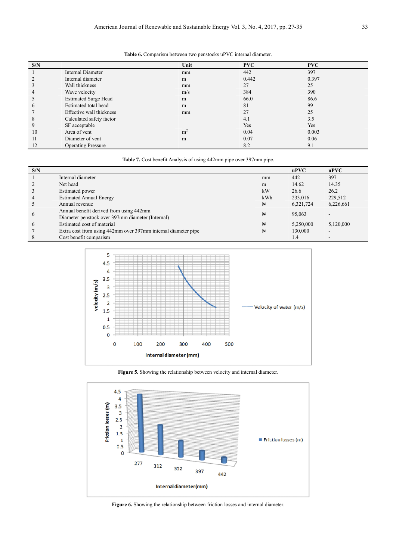#### **Table 6.** Comparism between two penstocks uPVC internal diameter.

| S/N |                             | Unit           | <b>PVC</b> | <b>PVC</b> |
|-----|-----------------------------|----------------|------------|------------|
|     | Internal Diameter           | mm             | 442        | 397        |
|     | Internal diameter           | m              | 0.442      | 0.397      |
| 3   | Wall thickness              | mm             | 27         | 25         |
| 4   | Wave velocity               | m/s            | 384        | 390        |
| 5   | <b>Estimated Surge Head</b> | m              | 66.0       | 86.6       |
| 6   | Estimated total head        | m              | 81         | 99         |
|     | Effective wall thickness    | mm             | 27         | 25         |
| 8   | Calculated safety factor    |                | 4.1        | 3.5        |
| 9   | SF acceptable               |                | Yes        | Yes        |
| 10  | Area of vent                | m <sup>2</sup> | 0.04       | 0.003      |
| 11  | Diameter of yent            | m              | 0.07       | 0.06       |
| 12  | <b>Operating Pressure</b>   |                | 8.2        | 9.1        |

Table 7. Cost benefit Analysis of using 442mm pipe over 397mm pipe.

| S/N            |                                                               |     | $u$ PVC   | $u$ PVC   |
|----------------|---------------------------------------------------------------|-----|-----------|-----------|
|                | Internal diameter                                             | mm  | 442       | 397       |
|                | Net head                                                      | m   | 14.62     | 14.35     |
|                | Estimated power                                               | kW  | 26.6      | 26.2      |
| $\overline{4}$ | <b>Estimated Annual Energy</b>                                | kWh | 233,016   | 229,512   |
|                | Annual revenue                                                | Ħ   | 6,321,724 | 6,226,661 |
|                | Annual benefit derived from using 442mm                       |     |           |           |
| 6              | Diameter penstock over 397mm diameter (Internal)              | ₩   | 95,063    |           |
| 6              | Estimated cost of material                                    | ₩   | 5,250,000 | 5,120,000 |
|                | Extra cost from using 442mm over 397mm internal diameter pipe | Ħ   | 130,000   | -         |
|                | Cost benefit comparism                                        |     | 1.4       | -         |



**Figure 5.** Showing the relationship between velocity and internal diameter.



**Figure 6.** Showing the relationship between friction losses and internal diameter.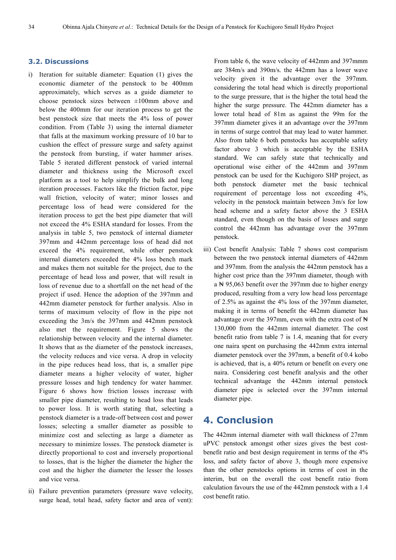#### **3.2. Discussions**

- i) Iteration for suitable diameter: Equation (1) gives the economic diameter of the penstock to be 400mm approximately, which serves as a guide diameter to choose penstock sizes between ±100mm above and below the 400mm for our iteration process to get the best penstock size that meets the 4% loss of power condition. From (Table 3) using the internal diameter that falls at the maximum working pressure of 10 bar to cushion the effect of pressure surge and safety against the penstock from bursting, if water hammer arises. Table 5 iterated different penstock of varied internal diameter and thickness using the Microsoft excel platform as a tool to help simplify the bulk and long iteration processes. Factors like the friction factor, pipe wall friction, velocity of water; minor losses and percentage loss of head were considered for the iteration process to get the best pipe diameter that will not exceed the 4% ESHA standard for losses. From the analysis in table 5, two penstock of internal diameter 397mm and 442mm percentage loss of head did not exceed the 4% requirement, while other penstock internal diameters exceeded the 4% loss bench mark and makes them not suitable for the project, due to the percentage of head loss and power, that will result in loss of revenue due to a shortfall on the net head of the project if used. Hence the adoption of the 397mm and 442mm diameter penstock for further analysis. Also in terms of maximum velocity of flow in the pipe not exceeding the 3m/s the 397mm and 442mm penstock also met the requirement. Figure 5 shows the relationship between velocity and the internal diameter. It shows that as the diameter of the penstock increases, the velocity reduces and vice versa. A drop in velocity in the pipe reduces head loss, that is, a smaller pipe diameter means a higher velocity of water, higher pressure losses and high tendency for water hammer. Figure 6 shows how friction losses increase with smaller pipe diameter, resulting to head loss that leads to power loss. It is worth stating that, selecting a penstock diameter is a trade-off between cost and power losses; selecting a smaller diameter as possible to minimize cost and selecting as large a diameter as necessary to minimize losses. The penstock diameter is directly proportional to cost and inversely proportional to losses, that is the higher the diameter the higher the cost and the higher the diameter the lesser the losses and vice versa.
- ii) Failure prevention parameters (pressure wave velocity, surge head, total head, safety factor and area of vent):

From table 6, the wave velocity of 442mm and 397mmm are 384m/s and 390m/s. the 442mm has a lower wave velocity given it the advantage over the 397mm. considering the total head which is directly proportional to the surge pressure, that is the higher the total head the higher the surge pressure. The 442mm diameter has a lower total head of 81m as against the 99m for the 397mm diameter gives it an advantage over the 397mm in terms of surge control that may lead to water hammer. Also from table 6 both penstocks has acceptable safety factor above 3 which is acceptable by the ESHA standard. We can safely state that technically and operational wise either of the 442mm and 397mm penstock can be used for the Kuchigoro SHP project, as both penstock diameter met the basic technical requirement of percentage loss not exceeding 4%, velocity in the penstock maintain between 3m/s for low head scheme and a safety factor above the 3 ESHA standard, even though on the basis of losses and surge control the 442mm has advantage over the 397mm penstock.

iii) Cost benefit Analysis: Table 7 shows cost comparism between the two penstock internal diameters of 442mm and 397mm. from the analysis the 442mm penstock has a higher cost price than the 397mm diameter, though with a ₦ 95,063 benefit over the 397mm due to higher energy produced, resulting from a very low head loss percentage of 2.5% as against the 4% loss of the 397mm diameter, making it in terms of benefit the 442mm diameter has advantage over the 397mm, even with the extra cost of  $\mathbb{N}$ 130,000 from the 442mm internal diameter. The cost benefit ratio from table 7 is 1.4, meaning that for every one naira spent on purchasing the 442mm extra internal diameter penstock over the 397mm, a benefit of 0.4 kobo is achieved, that is, a 40% return or benefit on every one naira. Considering cost benefit analysis and the other technical advantage the 442mm internal penstock diameter pipe is selected over the 397mm internal diameter pipe.

### **4. Conclusion**

The 442mm internal diameter with wall thickness of 27mm uPVC penstock amongst other sizes gives the best costbenefit ratio and best design requirement in terms of the 4% loss, and safety factor of above 3, though more expensive than the other penstocks options in terms of cost in the interim, but on the overall the cost benefit ratio from calculation favours the use of the 442mm penstock with a 1.4 cost benefit ratio.